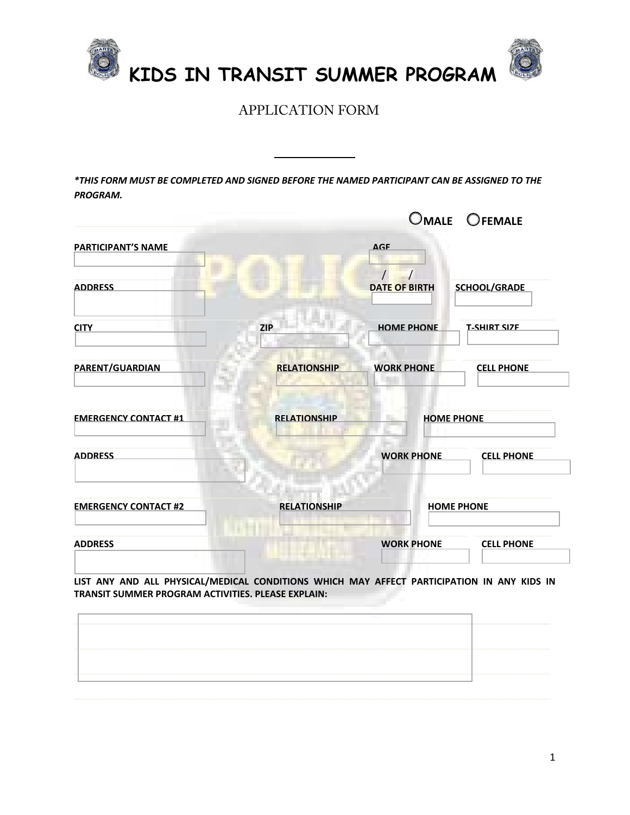

 **KIDS IN TRANSIT SUMMER PROGRAM** 

APPLICATION FORM

*\*THIS FORM MUST BE COMPLETED AND SIGNED BEFORE THE NAMED PARTICIPANT CAN BE ASSIGNED TO THE PROGRAM.*

|                             | OMALE OFEMALE       |                      |                     |
|-----------------------------|---------------------|----------------------|---------------------|
| <b>PARTICIPANT'S NAME</b>   |                     | <b>AGE</b>           |                     |
| <b>ADDRESS</b>              |                     | <b>DATE OF BIRTH</b> | <b>SCHOOL/GRADE</b> |
| <b>CITY</b>                 | <b>ZIP</b>          | <b>HOME PHONE</b>    | <b>T-SHIRT SIZE</b> |
| <b>PARENT/GUARDIAN</b>      | <b>RELATIONSHIP</b> | <b>WORK PHONE</b>    | <b>CELL PHONE</b>   |
| <b>EMERGENCY CONTACT #1</b> | <b>RELATIONSHIP</b> | <b>HOME PHONE</b>    |                     |
| <b>ADDRESS</b>              |                     | <b>WORK PHONE</b>    | <b>CELL PHONE</b>   |
| <b>EMERGENCY CONTACT #2</b> | <b>RELATIONSHIP</b> | <b>HOME PHONE</b>    |                     |
| <b>ADDRESS</b>              |                     | <b>WORK PHONE</b>    | <b>CELL PHONE</b>   |

**LIST ANY AND ALL PHYSICAL/MEDICAL CONDITIONS WHICH MAY AFFECT PARTICIPATION IN ANY KIDS IN TRANSIT SUMMER PROGRAM ACTIVITIES. PLEASE EXPLAIN:**